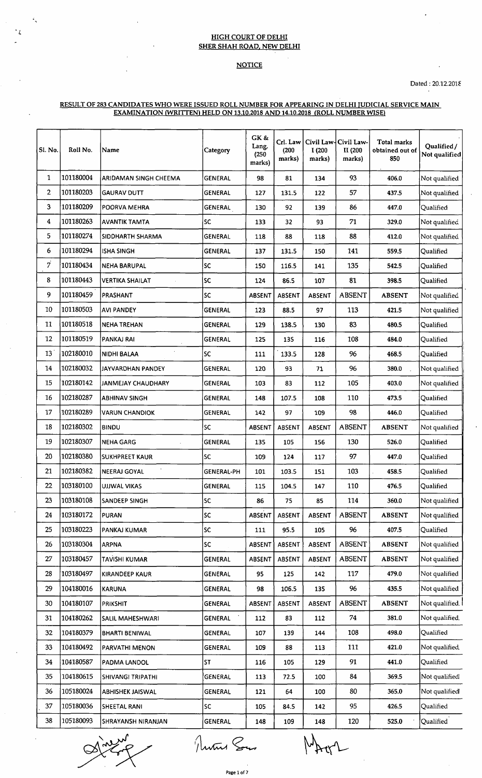## HIGH COURT OF DELHI SHER SHAH ROAD. NEW DELHI

*'L*

## NOTICE

## RESULT OF 283 CANDIDATES WHO WERE ISSUED ROLL NUMBER FOR APPEARING IN DELHI TUDICIAL SERVICE MAIN EXAMINATION WRITTEN) HELD ON 13.10.2018 AND 14.10.2018 (ROLL NUMBER WISE)

| Sl. No.        | Roll No.  | Name                     | Category          | GK &<br>Lang.<br>(250)<br>marks) | Crl. Law<br>(200)<br>marks) | I (200<br>marks) | Civil Law-Civil Law-<br>II (200<br>marks) | Total marks<br>obtained out of<br>850 | Qualified/<br>Not qualified |
|----------------|-----------|--------------------------|-------------------|----------------------------------|-----------------------------|------------------|-------------------------------------------|---------------------------------------|-----------------------------|
| 1              | 101180004 | ARIDAMAN SINGH CHEEMA    | <b>GENERAL</b>    | 98                               | 81                          | 134              | 93                                        | 406.0                                 | Not qualified               |
| $\overline{2}$ | 101180203 | <b>GAURAV DUTT</b>       | <b>GENERAL</b>    | 127                              | 131.5                       | 122              | 57                                        | 437.5                                 | Not qualified               |
| 3              | 101180209 | POORVA MEHRA             | GENERAL           | 130                              | 92                          | 139              | 86                                        | 447.0                                 | Qualified                   |
| 4              | 101180263 | <b>AVANTIK TAMTA</b>     | <b>SC</b>         | 133                              | 32                          | 93               | 71                                        | 329.0                                 | Not qualified               |
| 5              | 101180274 | SIDDHARTH SHARMA         | <b>GENERAL</b>    | 118                              | 88                          | 118              | 88                                        | 412.0                                 | Not qualified               |
| 6              | 101180294 | <b>ISHA SINGH</b>        | <b>GENERAL</b>    | 137                              | 131.5                       | 150              | 141                                       | 559.5                                 | Qualified                   |
| 7              | 101180434 | <b>NEHA BARUPAL</b>      | SC                | 150                              | 116.5                       | 141              | 135                                       | 542.5                                 | Qualified                   |
| 8              | 101180443 | <b>VERTIKA SHAILAT</b>   | SC                | 124                              | 86.5                        | 107              | 81                                        | 398.5                                 | Qualified                   |
| 9              | 101180459 | PRASHANT                 | SC                | <b>ABSENT</b>                    | ABSENT                      | <b>ABSENT</b>    | <b>ABSENT</b>                             | <b>ABSENT</b>                         | Not qualifiec               |
| 10             | 101180503 | AVI PANDEY               | <b>GENERAL</b>    | 123                              | 88.5                        | 97               | 113                                       | 421.5                                 | Not qualified               |
| 11             | 101180518 | NEHA TREHAN              | GENERAL           | 129                              | 138.5                       | 130              | 83                                        | 480.5                                 | Qualified                   |
| 12             | 101180519 | PANKAJ RAI               | <b>GENERAL</b>    | 125                              | 135                         | 116              | 108                                       | 484.0                                 | Qualified                   |
| 13             | 102180010 | NIDHI BALAA              | SC                | 111                              | 133.5                       | 128              | 96                                        | 468.5                                 | Qualified                   |
| 14             | 102180032 | JAYVARDHAN PANDEY        | GENERAL           | 120                              | 93                          | 71               | 96                                        | 380.0                                 | Not qualified               |
| 15             | 102180142 | JANMEJAY CHAUDHARY       | <b>GENERAL</b>    | 103                              | 83                          | 112              | 105                                       | 403.0                                 | Not qualified               |
| 16             | 102180287 | <b>ABHINAV SINGH</b>     | <b>GENERAL</b>    | 148                              | 107.5                       | 108              | 110                                       | 473.5                                 | Qualified                   |
| 17             | 102180289 | <b>VARUN CHANDIOK</b>    | <b>GENERAL</b>    | 142                              | 97                          | 109              | 98                                        | 446.0                                 | Qualified                   |
| 18             | 102180302 | <b>BINDU</b>             | SC                | ABSENT                           | ABSENT                      | ABSENT           | <b>ABSENT</b>                             | <b>ABSENT</b>                         | Not qualified               |
| 19             | 102180307 | <b>NEHA GARG</b>         | <b>GENERAL</b>    | 135                              | 105                         | 156              | 130                                       | 526.0                                 | Qualified                   |
| 20             | 102180380 | SUKHPREET KAUR           | <b>SC</b>         | 109                              | 124                         | 117              | 97                                        | 447.0                                 | Qualified                   |
| 21             | 102180382 | <b>NEERAJ GOYAL</b>      | <b>GENERAL-PH</b> | 101                              | 103.5                       | 151              | 103                                       | 458.5                                 | Qualified                   |
| 22             | 103180100 | UJJWAL VIKAS             | GENERAL           | 115                              | 104.5                       | 147              | 110                                       | 476.5                                 | Qualified                   |
| 23             | 103180108 | SANDEEP SINGH            | SC.               | 86                               | 75                          | 85               | 114                                       | 360.0                                 | Not qualified               |
| 24             | 103180172 | <b>PURAN</b>             | SC.               | <b>ABSENT</b>                    | <b>ABSENT</b>               | <b>ABSENT</b>    | <b>ABSENT</b>                             | <b>ABSENT</b>                         | Not qualified               |
| 25             | 103180223 | PANKAJ KUMAR             | SC.               | 111                              | 95.5                        | 105              | 96                                        | 407.5                                 | Qualified                   |
| 26             | 103180304 | <b>ARPNA</b>             | SC.               | ABSENT                           | <b>ABSENT</b>               | ABSENT           | <b>ABSENT</b>                             | <b>ABSENT</b>                         | Not qualified               |
| 27             | 103180457 | TAVISHI KUMAR            | <b>GENERAL</b>    | ABSENT                           | ABSENT                      | ABSENT           | <b>ABSENT</b>                             | <b>ABSENT</b>                         | Not qualified               |
| 28             | 103180497 | KIRANDEEP KAUR           | <b>GENERAL</b>    | 95                               | 125                         | 142              | 117                                       | 479.0                                 | Not qualified               |
| 29             | 104180016 | KARUNA                   | GENERAL           | 98                               | 106.5                       | 135              | 96                                        | 435.5                                 | Not qualified               |
| 30             | 104180107 | <b>PRIKSHIT</b>          | <b>GENERAL</b>    | ABSENT                           | <b>ABSENT</b>               | ABSENT           | <b>ABSENT</b>                             | <b>ABSENT</b>                         | Not qualified.              |
| 31             | 104180262 | SALIL MAHESHWARI         | GENERAL           | 112                              | 83                          | 112              | 74                                        | 381.0                                 | Not qualified.              |
| 32             | 104180379 | <b>BHARTI BENIWAL</b>    | <b>GENERAL</b>    | 107                              | 139                         | 144              | 108                                       | 498.0                                 | Qualified                   |
| 33             | 104180492 | PARVATHI MENON           | <b>GENERAL</b>    | 109                              | 88                          | 113              | 111                                       | 421.0                                 | Not qualified.              |
| 34             | 104180587 | PADMA LANDOL             | ST                | 116                              | 105                         | 129              | 91                                        | 441.0                                 | Qualified                   |
| 35             | 104180615 | <b>SHIVANGI TRIPATHI</b> | GENERAL           | 113                              | 72.5                        | 100              | 84                                        | 369.5                                 | Not qualified               |
| 36             | 105180024 | <b>ABHISHEK JAISWAL</b>  | GENERAL           | 121                              | 64                          | 100              | 80                                        | 365.0                                 | Not qualified               |
| 37             | 105180036 | SHEETAL RANI             | SC.               | 105                              | 84.5                        | 142              | 95                                        | 426.5                                 | Qualified                   |
| 38             | 105180093 | SHRAYANSH NIRANJAN       | <b>GENERAL</b>    | 148                              | 109                         | 148              | 120                                       | 525.0                                 | Qualified                   |

Mun Son

**Page 1 of 7**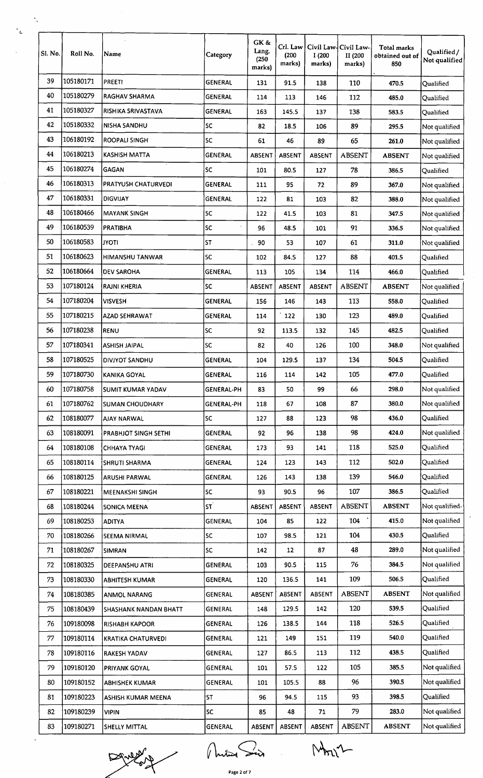| Sl. No. | Roll No.  | Name                        | Category          | GK &<br>Lang.<br>(250)<br>marks) | Crl. Law<br>(200)<br>marks) | Civil Law-<br>I (200<br>marks) | Civil Law-<br>II (200<br>marks) | Total marks<br>obtained out of<br>850 | Qualified/<br>Not qualified |
|---------|-----------|-----------------------------|-------------------|----------------------------------|-----------------------------|--------------------------------|---------------------------------|---------------------------------------|-----------------------------|
| 39      | 105180171 | <b>PREETI</b>               | <b>GENERAL</b>    | 131                              | 91.5                        | 138                            | 110                             | 470.5                                 | Qualified                   |
| 40      | 105180279 | RAGHAV SHARMA               | GENERAL           | 114                              | 113                         | 146                            | 112                             | 485.0                                 | Qualified                   |
| 41      | 105180327 | <b>RISHIKA SRIVASTAVA</b>   | <b>GENERAL</b>    | 163                              | 145.5                       | 137                            | 138                             | 583.5                                 | Qualified                   |
| 42      | 105180332 | <b>NISHA SANDHU</b>         | SC                | 82                               | 18.5                        | 106                            | 89                              | 295.5                                 | Not qualified               |
| 43      | 106180192 | <b>ROOPALI SINGH</b>        | SC                | 61                               | 46                          | 89                             | 65                              | 261.0                                 | Not qualified               |
| 44      | 106180213 | <b>KASHISH MATTA</b>        | <b>GENERAL</b>    | <b>ABSENT</b>                    | ABSENT                      | <b>ABSENT</b>                  | <b>ABSENT</b>                   | <b>ABSENT</b>                         | Not qualified               |
| 45      | 106180274 | GAGAN                       | SC                | 101                              | 80.5                        | 127                            | 78                              | 386.5                                 | Qualified                   |
| 46      | 106180313 | <b>PRATYUSH CHATURVEDI</b>  | <b>GENERAL</b>    | 111                              | 95                          | 72                             | 89                              | 367.0                                 | Not qualified               |
| 47      | 106180331 | <b>DIGVIJAY</b>             | <b>GENERAL</b>    | 122                              | 81                          | 103                            | 82                              | 388.0                                 | Not qualified               |
| 48      | 106180466 | <b>MAYANK SINGH</b>         | <b>SC</b>         | 122                              | 41.5                        | 103                            | 81                              | 347.5                                 | Not qualified               |
| 49      | 106180539 | <b>PRATIBHA</b>             | <b>SC</b>         | 96                               | 48.5                        | 101                            | 91                              | 336.5                                 | Not qualified               |
| 50      | 106180583 | <b>ITOYL</b>                | <b>ST</b>         | 90                               | 53                          | 107                            | 61                              | 311.0                                 | Not qualified               |
| 51      | 106180623 | <b>HIMANSHU TANWAR</b>      | SC                | 102                              | 84.5                        | 127                            | 88                              | 401.5                                 | Qualified                   |
| 52      | 106180664 | <b>DEV SAROHA</b>           | <b>GENERAL</b>    | 113                              | 105                         | 134                            | 114                             | 466.0                                 | Qualified                   |
| 53      | 107180124 | RAJNI KHERIA                | <b>SC</b>         | <b>ABSENT</b>                    | <b>ABSENT</b>               | <b>ABSENT</b>                  | <b>ABSENT</b>                   | <b>ABSENT</b>                         | Not qualified               |
| 54      | 107180204 | <b>VISVESH</b>              | <b>GENERAL</b>    | 156                              | 146                         | 143                            | 113                             | 558.0                                 | Qualified                   |
| 55      | 107180215 | <b>AZAD SEHRAWAT</b>        | <b>GENERAL</b>    | 114                              | 122                         | 130                            | 123                             | 489.0                                 | Qualified                   |
| 56      | 107180238 | <b>RENU</b>                 | SC                | 92                               | 113.5                       | 132                            | 145                             | 482.5                                 | Qualified                   |
| 57      | 107180341 | <b>ASHISH JAIPAL</b>        | SC                | 82                               | 40                          | 126                            | 100                             | 348.0                                 | Not qualified               |
| 58      | 107180525 | DIVJYOT SANDHU              | <b>GENERAL</b>    | 104                              | 129.5                       | 137                            | 134                             | 504.5                                 | Oualified                   |
| 59      | 107180730 | KANIKA GOYAL                | <b>GENERAL</b>    | 116                              | 114                         | 142                            | 105                             | 477.0                                 | Qualified                   |
| 60      | 107180758 |                             | <b>GENERAL-PH</b> | 83                               | 50                          | 99                             | 66                              | 298.0                                 | Not qualified               |
|         |           | <b>SUMIT KUMAR YADAV</b>    |                   |                                  |                             |                                |                                 |                                       |                             |
| 61      | 107180762 | <b>SUMAN CHOUDHARY</b>      | <b>GENERAL-PH</b> | 118                              | 67                          | 108                            | 87                              | 380.0                                 | Not qualified               |
| 62      | 108180077 | <b>AJAY NARWAL</b>          | <b>SC</b>         | 127                              | 88                          | 123                            | 98                              | 436.0                                 | Qualified                   |
| 63      | 108180091 | <b>PRABHJOT SINGH SETHI</b> | <b>GENERAL</b>    | 92                               | 96                          | 138                            | 98                              | 424.0                                 | Not qualified               |
| 64      | 108180108 | <b>CHHAYA TYAGI</b>         | <b>GENERAL</b>    | 173                              | 93                          | 141                            | 118                             | 525.0                                 | Qualified                   |
| 65      | 108180114 | <b>SHRUTI SHARMA</b>        | <b>GENERAL</b>    | 124                              | 123                         | 143                            | 112                             | 502.0                                 | Qualified                   |
| 66      | 108180125 | ARUSHI PARWAL               | <b>GENERAL</b>    | 126                              | 143                         | 138                            | 139                             | 546.0                                 | Qualified                   |
| 67      | 108180221 | <b>MEENAKSHI SINGH</b>      | SC                | 93                               | 90.5                        | 96                             | 107                             | 386.5                                 | Qualified                   |
| 68      | 108180244 | <b>SONICA MEENA</b>         | SΤ <sup>΄</sup>   | <b>ABSENT</b>                    | ABSENT                      | ABSENT                         | <b>ABSENT</b>                   | <b>ABSENT</b>                         | Not qualified,              |
| 69      | 108180253 | <b>ADITYA</b>               | <b>GENERAL</b>    | 104                              | 85                          | 122                            | 104                             | 415.0                                 | Not qualified               |
| 70      | 108180266 | <b>SEEMA NIRMAL</b>         | <b>SC</b>         | 107                              | 98.5                        | 121                            | 104                             | 430.5                                 | Qualified                   |
| 71      | 108180267 | <b>SIMRAN</b>               | SC                | 142                              | 12                          | 87                             | 48                              | 289.0                                 | Not qualified               |
| 72      | 108180325 | <b>DEEPANSHU ATRI</b>       | <b>GENERAL</b>    | 103                              | 90.5                        | 115                            | 76                              | 384.5                                 | Not qualified               |
| 73      | 108180330 | ABHITESH KUMAR              | <b>GENERAL</b>    | 120                              | 136.5                       | 141                            | 109                             | 506.5                                 | Qualified                   |
| 74      | 108180385 | <b>ANMOL NARANG</b>         | <b>GENERAL</b>    | <b>ABSENT</b>                    | ABSENT                      | ABSENT                         | <b>ABSENT</b>                   | <b>ABSENT</b>                         | Not qualified               |
| 75      | 108180439 | SHASHANK NANDAN BHATT       | <b>GENERAL</b>    | 148                              | 129.5                       | 142                            | 120                             | 539.5                                 | Qualified                   |
| 76      | 109180098 | <b>RISHABH KAPOOR</b>       | <b>GENERAL</b>    | 126                              | 138.5                       | 144                            | 118                             | 526.5                                 | Qualified                   |
| $77\,$  | 109180114 | <b>KRATIKA CHATURVEDI</b>   | GENERAL           | 121                              | 149                         | 151                            | 119                             | 540.0                                 | Qualified                   |
| 78      | 109180116 | <b>RAKESH YADAV</b>         | GENERAL           | 127                              | 86.5                        | 113                            | 112                             | 438.5                                 | Qualified                   |
| 79      | 109180120 | PRIYANK GOYAL               | GENERAL           | 101                              | 57.5                        | 122                            | 105                             | 385.5                                 | Not qualified               |
| 80      | 109180152 | <b>ABHISHEK KUMAR</b>       | <b>GENERAL</b>    | 101                              | 105.5                       | 88                             | 96                              | 390.5                                 | Not qualified               |
| 81      | 109180223 | <b>ASHISH KUMAR MEENA</b>   | <b>ST</b>         | 96                               | 94.5                        | 115                            | 93                              | 398.5                                 | Qualified                   |
| 82      | 109180239 | <b>VIPIN</b>                | SC.               | 85                               | 48                          | 71                             | 79                              | 283.0                                 | Not qualified               |
|         | 109180271 | <b>SHELLY MITTAL</b>        | GENERAL           | ABSENT                           | ABSENT                      | <b>ABSENT</b>                  | <b>ABSENT</b>                   | <b>ABSENT</b>                         | Not qualified               |

Dévelopment Mitos Suis Mont-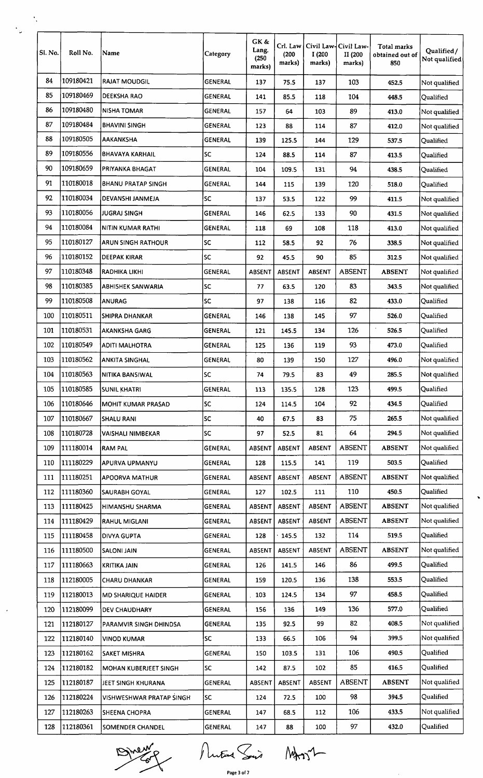| SI. No. | Roll No.  | Name                         | Category       | GK &<br>Lang.<br>(250)<br>marks) | Crl. Law<br>(200)<br>marks) | Civil Law-Civil Law-<br>I(200<br>marks) | II (200<br>marks) | <b>Total marks</b><br>obtained out of<br>850 | Qualified/<br>Not qualified |  |
|---------|-----------|------------------------------|----------------|----------------------------------|-----------------------------|-----------------------------------------|-------------------|----------------------------------------------|-----------------------------|--|
| 84      | 109180421 | <b>RAJAT MOUDGIL</b>         | <b>GENERAL</b> | 137                              | 75.5                        | 137                                     | 103               | 452.5                                        | Not qualified               |  |
| 85      | 109180469 | <b>DEEKSHA RAO</b>           | <b>GENERAL</b> | 141                              | 85.5                        | 118                                     | 104               | 448.5                                        | Qualified                   |  |
| 86      | 109180480 | <b>NISHA TOMAR</b>           | <b>GENERAL</b> | 157                              | 64                          | 103                                     | 89                | 413.0                                        | Not qualified               |  |
| 87      | 109180484 | <b>BHAVINI SINGH</b>         | <b>GENERAL</b> | 123                              | 88                          | 114                                     | 87                | 412.0                                        | Not qualified               |  |
| 88      | 109180505 | <b>AAKANKSHA</b>             | <b>GENERAL</b> | 139                              | 125.5                       | 144                                     | 129               | 537.5                                        | Qualified                   |  |
| 89      | 109180556 | <b>BHAVAYA KARHAIL</b>       | lsc            | 124                              | 88.5                        | 114                                     | 87                | 413.5                                        | Qualified                   |  |
| 90      | 109180659 | PRIYANKA BHAGAT              | <b>GENERAL</b> | 104                              | 109.5                       | 131                                     | 94                | 438.5                                        | Qualified                   |  |
| 91      | 110180018 | <b>BHANU PRATAP SINGH</b>    | <b>GENERAL</b> | 144                              | 115                         | 139                                     | 120               | 518.0                                        | Qualified                   |  |
| 92      | 110180034 | DEVANSHI JANMEJA             | <b>SC</b>      | 137                              | 53.5                        | 122                                     | 99                | 411.5                                        | Not qualified               |  |
| 93      | 110180056 | <b>JUGRAJ SINGH</b>          | <b>GENERAL</b> | 146                              | 62.5                        | 133                                     | 90                | 431.5                                        | Not qualified               |  |
| 94      | 110180084 | NITIN KUMAR RATHI            | GENERAL        | 118                              | 69                          | 108                                     | 118               | 413.0                                        | Not qualified               |  |
| 95      | 110180127 | <b>ARUN SINGH RATHOUR</b>    | <b>SC</b>      | 112                              | 58.5                        | 92                                      | 76                | 338.5                                        | Not qualified               |  |
| 96      | 110180152 | DEEPAK KIRAR                 | <b>SC</b>      | 92                               | 45.5                        | 90                                      | 85                | 312.5                                        | Not qualified               |  |
| 97      | 110180348 | RADHIKA LIKHI                | <b>GENERAL</b> | ABSENT                           | <b>ABSENT</b>               | ABSENT                                  | <b>ABSENT</b>     | <b>ABSENT</b>                                | Not qualified               |  |
| 98      | 110180385 | ABHISHEK SANWARIA            | <b>SC</b>      | 77                               | 63.5                        | 120                                     | 83                | 343.5                                        | Not qualified               |  |
| 99      | 110180508 | ANURAG                       | SC             | 97                               | 138                         | 116                                     | 82                | 433.0                                        | Qualified                   |  |
| 100     | 110180511 | <b>SHIPRA DHANKAR</b>        | <b>GENERAL</b> | 146                              | 138                         | 145                                     | 97                | 526.0                                        | Qualified                   |  |
| 101     | 110180531 | <b>AKANKSHA GARG</b>         | <b>GENERAL</b> | 121                              | 145.5                       | 134                                     | 126               | $\cdot$<br>526.5                             | Qualified                   |  |
| 102     | 110180549 | ADITI MALHOTRA               | <b>GENERAL</b> | 125                              | 136                         | 119                                     | 93                | 473.0                                        | Qualified                   |  |
| 103     | 110180562 | <b>ANKITA SINGHAL</b>        | <b>GENERAL</b> | 80                               | 139                         | 150                                     | 127               | 496.0                                        | Not qualified               |  |
| 104     | 110180563 | NITIKA BANSIWAL              | SC             | 74                               | 79.5                        | 83                                      | 49                | 285.5                                        | Not qualified               |  |
| 105     | 110180585 | <b>SUNIL KHATRI</b>          | <b>GENERAL</b> | 113                              | 135.5                       | 128                                     | 123               | 499.5                                        | Qualified                   |  |
| 106     | 110180646 | MOHIT KUMAR PRASAD           | <b>SC</b>      | 124                              | 114.5                       | 104                                     | 92                | 434.5                                        | Qualified                   |  |
| 107     | 110180667 | <b>SHALU RANI</b>            | <b>SC</b>      | 40                               | 67.5                        | 83                                      | 75                | 265.5                                        | Not qualified               |  |
| 108     | 110180728 | VAISHALI NIMBEKAR            | <b>SC</b>      | 97                               | 52.5                        | 81                                      | 64                | 294.5                                        | Not qualified               |  |
| 109     | 111180014 | <b>RAM PAL</b>               | <b>GENERAL</b> | ABSENT                           | <b>ABSENT</b>               | <b>ABSENT</b>                           | <b>ABSENT</b>     | <b>ABSENT</b>                                | Not qualified               |  |
| 110     | 111180229 | APURVA UPMANYU               | <b>GENERAL</b> | 128                              | 115.5                       | 141                                     | 119               | 503.5                                        | Qualified                   |  |
| 111     | 111180251 | <b>APOORVA MATHUR</b>        | <b>GENERAL</b> | <b>ABSENT</b>                    | ABSENT                      | <b>ABSENT</b>                           | <b>ABSENT</b>     | <b>ABSENT</b>                                | Not qualified               |  |
| 112     | 111180360 | SAURABH GOYAL                | GENERAL        | 127                              | 102.5                       | 111                                     | 110               | 450.5                                        | Qualified                   |  |
| 113     | 111180425 | HIMANSHU SHARMA              | <b>GENERAL</b> | ABSENT                           | ABSENT                      | ABSENT                                  | <b>ABSENT</b>     | <b>ABSENT</b>                                | Not qualified               |  |
| 114     | 111180429 | <b>RAHUL MIGLANI</b>         | <b>GENERAL</b> | ABSENT                           | ABSENT                      | ABSENT                                  | <b>ABSENT</b>     | <b>ABSENT</b>                                | Not qualified               |  |
| 115     | 111180458 | <b>DIVYA GUPTA</b>           | <b>GENERAL</b> | 128                              | 145.5                       | 132                                     | 114               | 519.5                                        | Qualified                   |  |
| 116     | 111180500 | <b>SALONI JAIN</b>           | <b>GENERAL</b> | <b>ABSENT</b>                    | <b>ABSENT</b>               | ABSENT                                  | <b>ABSENT</b>     | <b>ABSENT</b>                                | Not qualified               |  |
| 117     | 111180663 | KRITIKA JAIN                 | GENERAL        | 126                              | 141.5                       | 146                                     | 86                | 499.5                                        | Qualified                   |  |
| 118     | 112180005 | <b>CHARU DHANKAR</b>         | GENERAL        | 159                              | 120.5                       | 136                                     | 138               | 553.5                                        | Qualified                   |  |
| 119     | 112180013 | <b>MD SHARIQUE HAIDER</b>    | <b>GENERAL</b> | 103                              | 124.5                       | 134                                     | 97                | 458.5                                        | Qualified                   |  |
| 120     | 112180099 | <b>DEV CHAUDHARY</b>         | <b>GENERAL</b> | 156                              | 136                         | 149                                     | 136               | 577.0                                        | Qualified                   |  |
| 121     | 112180127 | PARAMVIR SINGH DHINDSA       | <b>GENERAL</b> | 135                              | 92.5                        | 99                                      | 82                | 408.5                                        | Not qualified               |  |
| 122     | 112180140 | <b>VINOD KUMAR</b>           | SC             | 133                              | 66.5                        | 106                                     | 94                | 399.5                                        | Not qualified               |  |
| 123     | 112180162 | <b>SAKET MISHRA</b>          | GENERAL        | 150                              | 103.5                       | 131                                     | 106               | 490.5                                        | Qualified                   |  |
| 124     | 112180182 | <b>MOHAN KUBERJEET SINGH</b> | <b>SC</b>      | 142                              | 87.5                        | 102                                     | 85                | 416.5                                        | Qualified                   |  |
| 125     | 112180187 | JEET SINGH KHURANA           | GENERAL        | <b>ABSENT</b>                    | ABSENT                      | ABSENT                                  | <b>ABSENT</b>     | <b>ABSENT</b>                                | Not qualified               |  |
| 126     | 112180224 | VISHWESHWAR PRATAP SINGH     | lsc            | 124                              | 72.5                        | 100                                     | 98                | 394.5                                        | Qualified                   |  |
| 127     | 112180263 | <b>SHEENA CHOPRA</b>         | GENERAL        | 147                              | 68.5                        | 112                                     | 106               | 433.5                                        | Not qualified               |  |
| 128     | 112180361 | SOMENDER CHANDEL             | <b>GENERAL</b> | 147                              | 88                          | 100                                     | 97                | 432.0                                        | Qualified                   |  |
|         |           |                              |                |                                  |                             |                                         |                   |                                              |                             |  |

Divery Mutual Suis MANT

 $\hat{\mathcal{L}}$ 

 $\ddot{\phantom{0}}$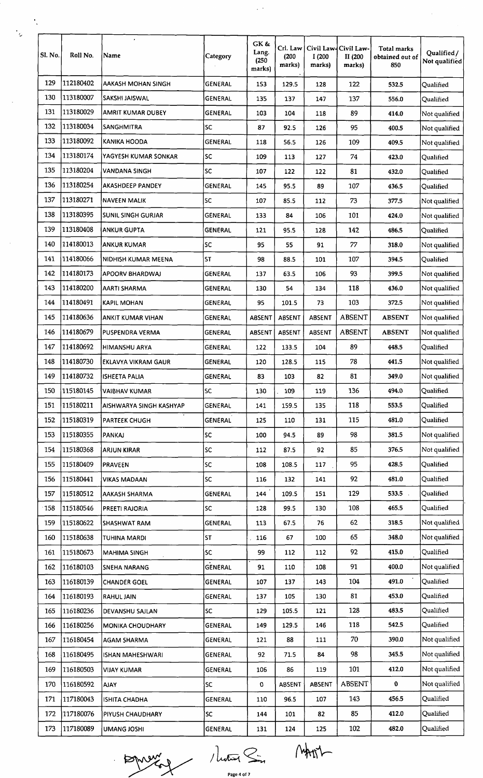| Sl. No. | Roll No.  | $\bullet$<br>Name         | Category       | GK &<br>Lang.<br>(250)<br>marks) | Crl. Law<br>(200)<br>marks) | I(200<br>marks) | Civil Law-Civil Law-<br>II (200<br>marks) | Total marks<br>obtained out of<br>850 | Qualified/<br>Not qualified |
|---------|-----------|---------------------------|----------------|----------------------------------|-----------------------------|-----------------|-------------------------------------------|---------------------------------------|-----------------------------|
| 129     | 112180402 | AAKASH MOHAN SINGH        | GENERAL        | 153                              | 129.5                       | 128             | 122                                       | 532.5                                 | Qualified                   |
| 130     | 113180007 | SAKSHI JAISWAL            | <b>GENERAL</b> | 135                              | 137                         | 147             | 137                                       | 556.0                                 | Qualified                   |
| 131     | 113180029 | AMRIT KUMAR DUBEY         | GENERAL        | 103                              | 104                         | 118             | 89                                        | 414.0                                 | Not qualified               |
| 132     | 113180034 | <b>SANGHMITRA</b>         | <b>SC</b>      | 87                               | 92.5                        | 126             | 95                                        | 400.5                                 | Not qualified               |
| 133     | 113180092 | <b>KANIKA HOODA</b>       | <b>GENERAL</b> | 118                              | 56.5                        | 126             | 109                                       | 409.5                                 | Not qualified               |
| 134     | 113180174 | YAGYESH KUMAR SONKAR      | lsc            | 109                              | 113                         | 127             | 74                                        | 423.0                                 | Qualified                   |
| 135     | 113180204 | VANDANA SINGH             | <b>SC</b>      | 107                              | 122                         | 122             | 81                                        | 432.0                                 | Qualified                   |
| 136     | 113180254 | <b>AKASHDEEP PANDEY</b>   | <b>GENERAL</b> | 145                              | 95.5                        | 89              | 107                                       | 436.5                                 | Qualified                   |
| 137     | 113180271 | <b>NAVEEN MALIK</b>       | <b>SC</b>      | 107                              | 85.5                        | 112             | 73                                        | 377.5                                 | Not qualified               |
| 138     | 113180395 | <b>SUNIL SINGH GURJAR</b> | <b>GENERAL</b> | 133                              | 84                          | 106             | 101                                       | 424.0                                 | Not qualified               |
| 139     | 113180408 | <b>ANKUR GUPTA</b>        | <b>GENERAL</b> | 121                              | 95.5                        | 128             | 142                                       | 486.5                                 | Qualified                   |
| 140     | 114180013 | <b>ANKUR KUMAR</b>        | <b>SC</b>      | 95                               | 55                          | 91              | 77                                        | 318.0                                 | Not qualified               |
| 141     | 114180066 | NIDHISH KUMAR MEENA       | <b>ST</b>      | 98                               | 88.5                        | 101             | 107                                       | 394.5                                 | Qualified                   |
| 142     | 114180173 | <b>APOORV BHARDWAJ</b>    | <b>GENERAL</b> | 137                              | 63.5                        | 106             | 93                                        | 399.5                                 | Not qualified               |
| 143     | 114180200 | AARTI SHARMA              | <b>GENERAL</b> | 130                              | 54                          | 134             | 118                                       | 436.0                                 | Not qualified               |
| 144     | 114180491 | KAPIL MOHAN               | <b>GENERAL</b> | 95                               | 101.5                       | 73              | 103                                       | 372.5                                 | Not qualified               |
| 145     | 114180636 | ANKIT KUMAR VIHAN         | <b>GENERAL</b> | <b>ABSENT</b>                    | <b>ABSENT</b>               | <b>ABSENT</b>   | <b>ABSENT</b>                             | <b>ABSENT</b>                         | Not qualified               |
| 146     | 114180679 | PUSPENDRA VERMA           | GENERAL        | <b>ABSENT</b>                    | <b>ABSENT</b>               | ABSENT          | <b>ABSENT</b>                             | <b>ABSENT</b>                         | Not qualified               |
| 147     | 114180692 | HIMANSHU ARYA             | <b>GENERAL</b> | 122                              | 133.5                       | 104             | 89                                        | 448.5                                 | Qualified                   |
| 148     | 114180730 | EKLAVYA VIKRAM GAUR       | <b>GENERAL</b> | 120                              | 128.5                       | 115             | 78                                        | 441.5                                 | Not qualified               |
| 149     | 114180732 | <b>ISHEETA PALIA</b>      | <b>GENERAL</b> | 83                               | 103                         | 82              | 81                                        | 349.0                                 | Not qualified               |
| 150     | 115180145 | <b>VAIBHAV KUMAR</b>      | lsc.           | 130                              | 109                         | 119             | 136                                       | 494.0                                 | Qualified                   |
| 151     | 115180211 | AISHWARYA SINGH KASHYAP   | GENERAL        | 141                              | 159.5                       | 135             | 118                                       | 553.5                                 | Qualified                   |
| 152     | 115180319 |                           | <b>GENERAL</b> |                                  | 110                         | 131             | 115                                       | 481.0                                 | Qualified                   |
|         |           | <b>PARTEEK CHUGH</b>      |                | 125                              |                             |                 |                                           |                                       |                             |
| 153     | 115180355 | PANKAJ                    | lsc            | 100                              | 94.5                        | 89              | 98                                        | 381.5                                 | Not qualified               |
| 154     | 115180368 | <b>ARJUN KIRAR</b>        | <b>SC</b>      | 112                              | 87.5                        | 92              | 85                                        | 376.5                                 | Not qualified               |
| 155     | 115180409 | <b>PRAVEEN</b>            | <b>SC</b>      | 108                              | 108.5                       | 117             | 95                                        | 428.5                                 | Qualified                   |
| 156     | 115180441 | <b>VIKAS MADAAN</b>       | lsc.           | 116                              | 132                         | 141             | 92                                        | 481.0                                 | Qualified                   |
| 157     | 115180512 | AAKASH SHARMA             | <b>GENERAL</b> | 144                              | 109.5                       | 151             | 129                                       | 533.5.                                | Qualified                   |
| 158     | 115180546 | PREETI RAJORIA            | SC.            | 128                              | 99.5                        | 130             | 108                                       | 465.5                                 | Qualified                   |
| 159     | 115180622 | SHASHWAT RAM              | <b>GENERAL</b> | 113                              | 67.5                        | 76              | 62                                        | 318.5                                 | Not qualified               |
| 160     | 115180638 | TUHINA MARDI              | İST            | 116                              | 67                          | 100             | 65                                        | 348.0                                 | Not qualified               |
| 161     | 115180673 | <b>MAHIMA SINGH</b>       | <b>SC</b>      | 99                               | 112                         | 112             | 92                                        | 415.0                                 | Qualified                   |
| 162     | 116180103 | SNEHA NARANG              | <b>GENERAL</b> | 91                               | 110                         | 108             | 91                                        | 400.0                                 | Not qualified               |
| 163     | 116180139 | <b>CHANDER GOEL</b>       | <b>GENERAL</b> | 107                              | 137                         | 143             | 104                                       | 491.0                                 | Qualified                   |
| 164     | 116180193 | <b>RAHUL JAIN</b>         | <b>GENERAL</b> | 137                              | 105                         | 130             | 81                                        | 453.0                                 | Qualified                   |
| 165     | 116180236 | DEVANSHU SAJLAN           | lsc            | 129                              | 105.5                       | 121             | 128                                       | 483.5                                 | Qualified                   |
| 166     | 116180256 | <b>MONIKA CHOUDHARY</b>   | GENERAL        | 149                              | 129.5                       | 146             | 118                                       | 542.5                                 | Qualified                   |
| 167     | 116180454 | <b>AGAM SHARMA</b>        | GENERAL        | 121                              | 88                          | 111             | 70                                        | 390.0                                 | Not qualified               |
| 168     | 116180495 | ISHAN MAHESHWARI          | <b>GENERAL</b> | 92                               | 71.5                        | 84              | 98                                        | 345.5                                 | Not qualified               |
| 169     | 116180503 | <b>VIJAY KUMAR</b>        | GENERAL        | 106                              | 86                          | 119             | 101                                       | 412.0                                 | Not qualified               |
| 170     | 116180592 | <b>AJAY</b>               | <b>SC</b>      | 0                                | <b>ABSENT</b>               | <b>ABSENT</b>   | <b>ABSENT</b>                             | $\bf{0}$                              | Not qualified               |
| 171     | 117180043 | <b>ISHITA CHADHA</b>      | GENERAL        | 110                              | 96.5                        | 107             | 143                                       | 456.5                                 | Qualified                   |
| 172     | 117180076 | PIYUSH CHAUDHARY          | SC             | 144                              | 101                         | 82              | 85                                        | 412.0                                 | Qualified                   |
| 173     | 117180089 | <b>UMANG JOSHI</b>        | <b>GENERAL</b> | 131                              | 124                         | 125             | 102                                       | 482.0                                 | Qualified                   |

 $\frac{1}{2}$  .

 $\frac{1}{\sqrt{2}}$ 

 $\frac{1}{2}$ 

 $\frac{1}{2}$ 

MATH / Luter Sin MATH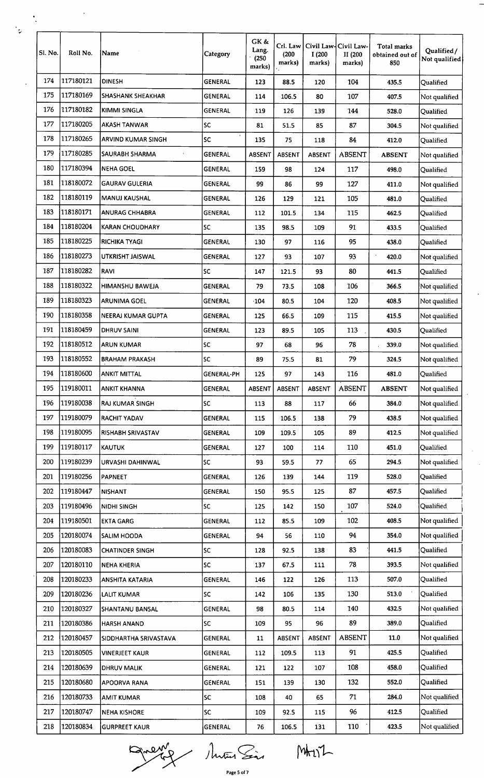| Sl. No. | Roll No.               | Name                   | Category       | GK &<br>Lang.<br>(250)<br>marks) | Crl. Law<br>(200)<br>marks) | I(200)<br>marks) | Civil Law-Civil Law-<br>II (200<br>marks) | Total marks<br>obtained out of<br>850 | Qualified/<br>Not qualified |
|---------|------------------------|------------------------|----------------|----------------------------------|-----------------------------|------------------|-------------------------------------------|---------------------------------------|-----------------------------|
| 174     | 117180121              | <b>DINESH</b>          | GENERAL        | 123                              | 88.5                        | 120              | 104                                       | 435.5                                 | Qualified                   |
| 175     | 117180169              | SHASHANK SHEAKHAR      | GENERAL        | 114                              | 106.5                       | 80               | 107                                       | 407.5                                 | Not qualified               |
| 176     | 117180182              | KIMMI SINGLA           | <b>GENERAL</b> | 119                              | 126                         | 139              | 144                                       | 528.0                                 | Qualified                   |
| 177     | 117180205              | AKASH TANWAR           | <b>SC</b>      | 81                               | 51.5                        | 85               | 87                                        | 304.5                                 | Not qualified               |
| 178     | 117180265              | ARVIND KUMAR SINGH     | ×.<br>SC       | 135                              | 75                          | 118              | 84                                        | 412.0                                 | Qualified                   |
| 179     | 117180285              | SAURABH SHARMA         | GENERAL        | ABSENT                           | <b>ABSENT</b>               | ABSENT           | <b>ABSENT</b>                             | <b>ABSENT</b>                         | Not qualified               |
| 180     | 117180394              | NEHA GOEL              | <b>GENERAL</b> | 159                              | 98                          | 124              | 117                                       | 498.0                                 | Qualified                   |
| 181     | 118180072              | <b>GAURAV GULERIA</b>  | <b>GENERAL</b> | 99                               | 86                          | 99               | 127                                       | 411.0                                 | Not qualified               |
| 182     | 118180119              | MANUJ KAUSHAL          | <b>GENERAL</b> | 126                              | 129                         | 121              | 105                                       | 481.0                                 | Qualified                   |
| 183     | 118180171              | <b>ANURAG CHHABRA</b>  | GENERAL        | 112                              | 101.5                       | 134              | 115                                       | 462.5                                 | <b>Qualified</b>            |
| 184     | 118180204              | <b>KARAN CHOUDHARY</b> | lsc            | 135                              | 98.5                        | 109              | 91                                        | 433.5                                 | Qualified                   |
| 185     | 118180225              | RICHIKA TYAGI          | <b>GENERAL</b> | 130                              | 97                          | 116              | 95                                        | 438.0                                 | Qualified                   |
| 186     | 118180273              | UTKRISHT JAISWAL       | <b>GENERAL</b> | 127                              | 93                          | 107              | 93                                        | 420.0                                 | Not qualified               |
| 187     | 118180282              | <b>RAVI</b>            | <b>SC</b>      | 147                              | 121.5                       | 93               | 80                                        | 441.5                                 | Qualified                   |
| 188     | 118180322              | HIMANSHU BAWEJA        | <b>GENERAL</b> | 79                               | 73.5                        | 108              | 106                                       | 366.5                                 | Not qualified               |
| 189     | 118180323              | <b>ARUNIMA GOEL</b>    | GENERAL        | $\cdot$ 104                      | 80.5                        | 104              | 120                                       | 408.5                                 | Not qualified               |
| 190     | 118180358              | NEERAJ KUMAR GUPTA     | <b>GENERAL</b> | 125                              | 66.5                        | 109              | 115                                       | 415.5                                 | Not qualified               |
| 191     | 118180459              | <b>DHRUV SAINI</b>     | <b>GENERAL</b> | 123                              | 89.5                        | 105              | 113                                       | 430.5                                 | Qualified                   |
| 192     | 118180512              | ARUN KUMAR             | <b>SC</b>      | 97                               | 68                          | 96               | 78                                        | 339.0                                 | Not qualified               |
| 193     | 118180552              | <b>BRAHAM PRAKASH</b>  | <b>SC</b>      | 89                               | 75.5                        | 81               | 79                                        | 324.5                                 | Not qualified               |
| 194     | 118180600              | <b>ANKIT MITTAL</b>    | GENERAL-PH     | 125                              | 97                          | 143              | 116                                       | 481.0                                 | Qualified                   |
| 195     | 119180011              | ANKIT KHANNA           | <b>GENERAL</b> | ABSENT                           | ABSENT                      | ABSENT           | <b>ABSENT</b>                             | <b>ABSENT</b>                         | Not qualified               |
| 196     | 119180038              | <b>RAJ KUMAR SINGH</b> | lsc            | 113                              | 88                          | 117              | 66                                        | 384.0                                 | Not qualified               |
| 197     | 119180079              | RACHIT YADAV           | GENERAL        | 115                              | 106.5                       | 138              | 79                                        | 438.5                                 | Not qualified               |
| 198     | 119180095              | RISHABH SRIVASTAV      | <b>GENERAL</b> | 109                              | 109.5                       | 105              | 89                                        | 412.5                                 | Not qualified               |
| 199     | 119180117              | <b>KAUTUK</b>          | GENERAL        | 127                              | 100                         | 114              | 110                                       | 451.0                                 | Qualified                   |
| 200     | 119180239              | URVASHI DAHINWAL       | <b>SC</b>      | 93                               | 59.5                        | 77               | 65                                        | 294.5                                 | Not qualified               |
| 201     | 119180256              | PAPNEET                | <b>GENERAL</b> | 126                              | 139                         | 144              | 119                                       | 528.0                                 | Qualified                   |
| 202     | 119180447              | <b>NISHANT</b>         | <b>GENERAL</b> | 150                              | 95.5                        | 125              | 87                                        | 457.5                                 | Qualified                   |
| 203     | 119180496              | <b>NIDHI SINGH</b>     | <b>SC</b>      | 125                              | 142                         | 150              | 107                                       | 524.0                                 | Qualified                   |
| 204     | 119180501              | <b>EKTA GARG</b>       | <b>GENERAL</b> | 112                              | 85.5                        | 109              | 102                                       | 408.5                                 | Not qualified               |
| 205     | 120180074              | SALIM HOODA            | GENERAL        | 94                               | 56                          | 110              | 94                                        | 354.0                                 | Not qualified               |
| 206     | 120180083              | <b>CHATINDER SINGH</b> | <b>SC</b>      | 128                              | 92.5                        | 138              | 83                                        | 441.5                                 | Qualified                   |
| 207     | 120180110              | NEHA KHERIA            | <b>SC</b>      | 137                              | 67.5                        | 111              | 78                                        | 393.5                                 | Not qualified               |
| 208     | 120180233              |                        | <b>GENERAL</b> | 146                              | 122                         | 126              | 113                                       | 507.0                                 | Qualified                   |
| 209     | 120180236              | ANSHITA KATARIA        | <b>SC</b>      | 142                              | 106                         | 135              | 130                                       | 513.0                                 | Qualified                   |
| 210     | 120180327              | LALIT KUMAR            | GENERAL        | 98                               | 80.5                        |                  | 140                                       | 432.5                                 | Not qualified               |
|         |                        | SHANTANU BANSAL        |                |                                  |                             | 114              | 89                                        | 389.0                                 |                             |
| 211     | 120180386<br>120180457 | <b>HARSH ANAND</b>     | <b>SC</b>      | 109                              | 95                          | 96               | <b>ABSENT</b>                             | 11.0                                  | Qualified<br>Not qualified  |
| 212     |                        | SIDDHARTHA SRIVASTAVA  | <b>GENERAL</b> | 11                               | ABSENT                      | <b>ABSENT</b>    |                                           |                                       |                             |
| 213     | 120180505              | <b>VINERJEET KAUR</b>  | GENERAL        | 112                              | 109.5                       | 113              | 91                                        | 425.5                                 | Qualified                   |
| 214     | 120180639              | <b>DHRUV MALIK</b>     | <b>GENERAL</b> | 121                              | 122                         | 107              | 108                                       | 458.0                                 | Qualified                   |
| 215     | 120180680              | APOORVA RANA           | <b>GENERAL</b> | 151                              | 139                         | 130              | 132                                       | 552.0                                 | Qualified                   |
| 216     | 120180733              | AMIT KUMAR             | SC             | 108                              | 40                          | 65               | 71                                        | 284.0                                 | Not qualified               |
| 217     | 120180747              | <b>NEHA KISHORE</b>    | sc             | 109                              | 92.5                        | 115              | 96                                        | 412.5                                 | Qualified                   |
| 218     | 120180834              | <b>GURPREET KAUR</b>   | GENERAL        | 76                               | 106.5                       | 131              | 110                                       | 423.5                                 | Not qualified               |

Prends Matin Sin MATIL

 $\frac{1}{2}$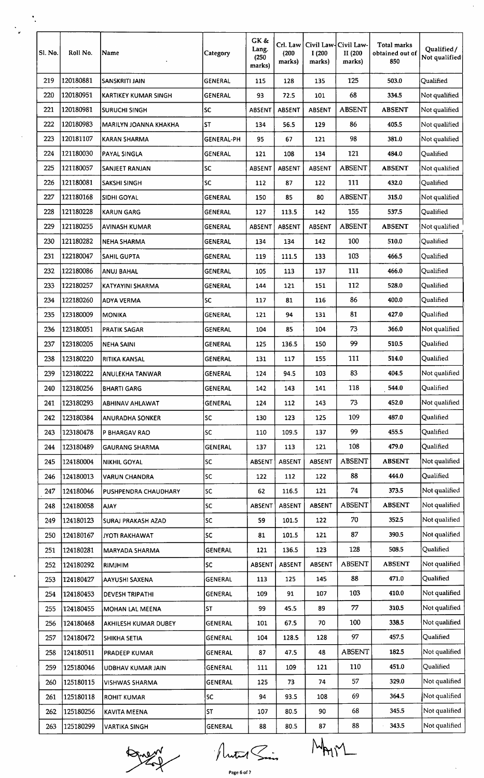| 120180881<br>120180951<br>120180981<br>120180983<br>120181107<br>121180030<br>121180057<br>121180081<br>121180168<br>121180228<br>121180255<br>121180282<br>122180047<br>122180086<br>122180257<br>122180260<br>123180009<br>123180051<br>123180205<br>123180220<br>123180222<br>123180256<br>123180293 | <b>SANSKRITI JAIN</b><br><b>KARTIKEY KUMAR SINGH</b><br><b>SURUCHI SINGH</b><br><b>MARILYN JOANNA KHAKHA</b><br><b>KARAN SHARMA</b><br><b>PAYAL SINGLA</b><br><b>SANJEET RANJAN</b><br><b>SAKSHI SINGH</b><br><b>SIDHI GOYAL</b><br><b>KARUN GARG</b><br><b>AVINASH KUMAR</b><br><b>NEHA SHARMA</b><br><b>SAHIL GUPTA</b><br>ANUJ BAHAL<br>KATYAYINI SHARMA<br><b>ADYA VERMA</b><br><b>MONIKA</b><br><b>PRATIK SAGAR</b><br><b>NEHA SAINI</b><br>RITIKA KANSAL<br>ANULEKHA TANWAR<br><b>BHARTI GARG</b> | <b>GENERAL</b><br><b>GENERAL</b><br><b>SC</b><br><b>ST</b><br><b>GENERAL-PH</b><br><b>GENERAL</b><br><b>SC</b><br><b>SC</b><br><b>GENERAL</b><br>GENERAL<br><b>GENERAL</b><br><b>GENERAL</b><br><b>GENERAL</b><br><b>GENERAL</b><br><b>GENERAL</b><br><b>SC</b><br><b>GENERAL</b><br><b>GENERAL</b><br><b>GENERAL</b><br><b>GENERAL</b><br>GENERAL<br><b>GENERAL</b> | 115<br>93<br><b>ABSENT</b><br>134<br>95<br>121<br>ABSENT<br>112<br>150<br>127<br><b>ABSENT</b><br>134<br>119<br>105<br>144<br>117<br>121<br>104<br>125<br>131<br>124 | 128<br>72.5<br>ABSENT<br>56.5<br>67<br>108<br><b>ABSENT</b><br>87<br>85<br>113.5<br>ABSENT<br>134<br>111.5<br>113<br>121<br>81<br>94<br>85<br>136.5<br>117<br>94.5 | 135<br>101<br><b>ABSENT</b><br>129<br>121<br>134<br><b>ABSENT</b><br>122<br>80<br>142<br><b>ABSENT</b><br>142<br>133<br>137<br>151<br>116<br>131<br>104<br>150<br>155<br>103 | 125<br>68<br><b>ABSENT</b><br>86<br>98<br>121<br><b>ABSENT</b><br>111<br><b>ABSENT</b><br>155<br><b>ABSENT</b><br>100<br>103<br>111<br>112<br>86<br>81<br>73<br>99<br>111 | 503.0<br>334.5<br><b>ABSENT</b><br>405.5<br>381.0<br>484.0<br><b>ABSENT</b><br>432.0<br>315.0<br>537.5<br><b>ABSENT</b><br>510.0<br>466.5<br>466.0<br>528.0<br>400.0<br>427.0<br>366.0<br>510.5<br>514.0 | Qualified<br>Not qualified<br>Not qualified<br>Not qualified<br>Not qualified<br>Qualified<br>Not qualified<br>Qualified<br>Not qualified<br>Qualified<br>Not qualified<br>Qualified<br>Qualified<br>Qualified<br>Qualified<br>Qualified<br>Qualified<br>Not qualified<br>Qualified<br>Oualified |
|---------------------------------------------------------------------------------------------------------------------------------------------------------------------------------------------------------------------------------------------------------------------------------------------------------|---------------------------------------------------------------------------------------------------------------------------------------------------------------------------------------------------------------------------------------------------------------------------------------------------------------------------------------------------------------------------------------------------------------------------------------------------------------------------------------------------------|----------------------------------------------------------------------------------------------------------------------------------------------------------------------------------------------------------------------------------------------------------------------------------------------------------------------------------------------------------------------|----------------------------------------------------------------------------------------------------------------------------------------------------------------------|--------------------------------------------------------------------------------------------------------------------------------------------------------------------|------------------------------------------------------------------------------------------------------------------------------------------------------------------------------|---------------------------------------------------------------------------------------------------------------------------------------------------------------------------|----------------------------------------------------------------------------------------------------------------------------------------------------------------------------------------------------------|--------------------------------------------------------------------------------------------------------------------------------------------------------------------------------------------------------------------------------------------------------------------------------------------------|
|                                                                                                                                                                                                                                                                                                         |                                                                                                                                                                                                                                                                                                                                                                                                                                                                                                         |                                                                                                                                                                                                                                                                                                                                                                      |                                                                                                                                                                      |                                                                                                                                                                    |                                                                                                                                                                              |                                                                                                                                                                           |                                                                                                                                                                                                          |                                                                                                                                                                                                                                                                                                  |
|                                                                                                                                                                                                                                                                                                         |                                                                                                                                                                                                                                                                                                                                                                                                                                                                                                         |                                                                                                                                                                                                                                                                                                                                                                      |                                                                                                                                                                      |                                                                                                                                                                    |                                                                                                                                                                              |                                                                                                                                                                           |                                                                                                                                                                                                          |                                                                                                                                                                                                                                                                                                  |
|                                                                                                                                                                                                                                                                                                         |                                                                                                                                                                                                                                                                                                                                                                                                                                                                                                         |                                                                                                                                                                                                                                                                                                                                                                      |                                                                                                                                                                      |                                                                                                                                                                    |                                                                                                                                                                              |                                                                                                                                                                           |                                                                                                                                                                                                          |                                                                                                                                                                                                                                                                                                  |
|                                                                                                                                                                                                                                                                                                         |                                                                                                                                                                                                                                                                                                                                                                                                                                                                                                         |                                                                                                                                                                                                                                                                                                                                                                      |                                                                                                                                                                      |                                                                                                                                                                    |                                                                                                                                                                              |                                                                                                                                                                           |                                                                                                                                                                                                          |                                                                                                                                                                                                                                                                                                  |
|                                                                                                                                                                                                                                                                                                         |                                                                                                                                                                                                                                                                                                                                                                                                                                                                                                         |                                                                                                                                                                                                                                                                                                                                                                      |                                                                                                                                                                      |                                                                                                                                                                    |                                                                                                                                                                              |                                                                                                                                                                           |                                                                                                                                                                                                          |                                                                                                                                                                                                                                                                                                  |
|                                                                                                                                                                                                                                                                                                         |                                                                                                                                                                                                                                                                                                                                                                                                                                                                                                         |                                                                                                                                                                                                                                                                                                                                                                      |                                                                                                                                                                      |                                                                                                                                                                    |                                                                                                                                                                              |                                                                                                                                                                           |                                                                                                                                                                                                          |                                                                                                                                                                                                                                                                                                  |
|                                                                                                                                                                                                                                                                                                         |                                                                                                                                                                                                                                                                                                                                                                                                                                                                                                         |                                                                                                                                                                                                                                                                                                                                                                      |                                                                                                                                                                      |                                                                                                                                                                    |                                                                                                                                                                              |                                                                                                                                                                           |                                                                                                                                                                                                          |                                                                                                                                                                                                                                                                                                  |
|                                                                                                                                                                                                                                                                                                         |                                                                                                                                                                                                                                                                                                                                                                                                                                                                                                         |                                                                                                                                                                                                                                                                                                                                                                      |                                                                                                                                                                      |                                                                                                                                                                    |                                                                                                                                                                              |                                                                                                                                                                           |                                                                                                                                                                                                          |                                                                                                                                                                                                                                                                                                  |
|                                                                                                                                                                                                                                                                                                         |                                                                                                                                                                                                                                                                                                                                                                                                                                                                                                         |                                                                                                                                                                                                                                                                                                                                                                      |                                                                                                                                                                      |                                                                                                                                                                    |                                                                                                                                                                              |                                                                                                                                                                           |                                                                                                                                                                                                          |                                                                                                                                                                                                                                                                                                  |
|                                                                                                                                                                                                                                                                                                         |                                                                                                                                                                                                                                                                                                                                                                                                                                                                                                         |                                                                                                                                                                                                                                                                                                                                                                      |                                                                                                                                                                      |                                                                                                                                                                    |                                                                                                                                                                              |                                                                                                                                                                           |                                                                                                                                                                                                          |                                                                                                                                                                                                                                                                                                  |
|                                                                                                                                                                                                                                                                                                         |                                                                                                                                                                                                                                                                                                                                                                                                                                                                                                         |                                                                                                                                                                                                                                                                                                                                                                      |                                                                                                                                                                      |                                                                                                                                                                    |                                                                                                                                                                              |                                                                                                                                                                           |                                                                                                                                                                                                          |                                                                                                                                                                                                                                                                                                  |
|                                                                                                                                                                                                                                                                                                         |                                                                                                                                                                                                                                                                                                                                                                                                                                                                                                         |                                                                                                                                                                                                                                                                                                                                                                      |                                                                                                                                                                      |                                                                                                                                                                    |                                                                                                                                                                              |                                                                                                                                                                           |                                                                                                                                                                                                          |                                                                                                                                                                                                                                                                                                  |
|                                                                                                                                                                                                                                                                                                         |                                                                                                                                                                                                                                                                                                                                                                                                                                                                                                         |                                                                                                                                                                                                                                                                                                                                                                      |                                                                                                                                                                      |                                                                                                                                                                    |                                                                                                                                                                              |                                                                                                                                                                           |                                                                                                                                                                                                          |                                                                                                                                                                                                                                                                                                  |
|                                                                                                                                                                                                                                                                                                         |                                                                                                                                                                                                                                                                                                                                                                                                                                                                                                         |                                                                                                                                                                                                                                                                                                                                                                      |                                                                                                                                                                      |                                                                                                                                                                    |                                                                                                                                                                              |                                                                                                                                                                           |                                                                                                                                                                                                          |                                                                                                                                                                                                                                                                                                  |
|                                                                                                                                                                                                                                                                                                         |                                                                                                                                                                                                                                                                                                                                                                                                                                                                                                         |                                                                                                                                                                                                                                                                                                                                                                      |                                                                                                                                                                      |                                                                                                                                                                    |                                                                                                                                                                              |                                                                                                                                                                           |                                                                                                                                                                                                          |                                                                                                                                                                                                                                                                                                  |
|                                                                                                                                                                                                                                                                                                         |                                                                                                                                                                                                                                                                                                                                                                                                                                                                                                         |                                                                                                                                                                                                                                                                                                                                                                      |                                                                                                                                                                      |                                                                                                                                                                    |                                                                                                                                                                              |                                                                                                                                                                           |                                                                                                                                                                                                          |                                                                                                                                                                                                                                                                                                  |
|                                                                                                                                                                                                                                                                                                         |                                                                                                                                                                                                                                                                                                                                                                                                                                                                                                         |                                                                                                                                                                                                                                                                                                                                                                      |                                                                                                                                                                      |                                                                                                                                                                    |                                                                                                                                                                              |                                                                                                                                                                           |                                                                                                                                                                                                          |                                                                                                                                                                                                                                                                                                  |
|                                                                                                                                                                                                                                                                                                         |                                                                                                                                                                                                                                                                                                                                                                                                                                                                                                         |                                                                                                                                                                                                                                                                                                                                                                      |                                                                                                                                                                      |                                                                                                                                                                    |                                                                                                                                                                              |                                                                                                                                                                           |                                                                                                                                                                                                          |                                                                                                                                                                                                                                                                                                  |
|                                                                                                                                                                                                                                                                                                         |                                                                                                                                                                                                                                                                                                                                                                                                                                                                                                         |                                                                                                                                                                                                                                                                                                                                                                      |                                                                                                                                                                      |                                                                                                                                                                    |                                                                                                                                                                              |                                                                                                                                                                           |                                                                                                                                                                                                          |                                                                                                                                                                                                                                                                                                  |
|                                                                                                                                                                                                                                                                                                         |                                                                                                                                                                                                                                                                                                                                                                                                                                                                                                         |                                                                                                                                                                                                                                                                                                                                                                      |                                                                                                                                                                      |                                                                                                                                                                    |                                                                                                                                                                              |                                                                                                                                                                           |                                                                                                                                                                                                          |                                                                                                                                                                                                                                                                                                  |
|                                                                                                                                                                                                                                                                                                         |                                                                                                                                                                                                                                                                                                                                                                                                                                                                                                         |                                                                                                                                                                                                                                                                                                                                                                      |                                                                                                                                                                      |                                                                                                                                                                    |                                                                                                                                                                              | 83                                                                                                                                                                        | 404.5                                                                                                                                                                                                    | Not qualified                                                                                                                                                                                                                                                                                    |
|                                                                                                                                                                                                                                                                                                         |                                                                                                                                                                                                                                                                                                                                                                                                                                                                                                         |                                                                                                                                                                                                                                                                                                                                                                      | 142                                                                                                                                                                  | 143                                                                                                                                                                | 141                                                                                                                                                                          | 118                                                                                                                                                                       | 544.0                                                                                                                                                                                                    | Qualified                                                                                                                                                                                                                                                                                        |
|                                                                                                                                                                                                                                                                                                         | <b>ABHINAV AHLAWAT</b>                                                                                                                                                                                                                                                                                                                                                                                                                                                                                  | <b>GENERAL</b>                                                                                                                                                                                                                                                                                                                                                       | 124                                                                                                                                                                  | 112                                                                                                                                                                | 143                                                                                                                                                                          | 73                                                                                                                                                                        | 452.0                                                                                                                                                                                                    | Not qualified                                                                                                                                                                                                                                                                                    |
| 123180384                                                                                                                                                                                                                                                                                               | ANURADHA SONKER                                                                                                                                                                                                                                                                                                                                                                                                                                                                                         | <b>SC</b>                                                                                                                                                                                                                                                                                                                                                            | 130                                                                                                                                                                  | 123                                                                                                                                                                | 125                                                                                                                                                                          | 109                                                                                                                                                                       | 487.0                                                                                                                                                                                                    | Qualified                                                                                                                                                                                                                                                                                        |
| 123180478                                                                                                                                                                                                                                                                                               | P BHARGAV RAO                                                                                                                                                                                                                                                                                                                                                                                                                                                                                           | SC                                                                                                                                                                                                                                                                                                                                                                   | 110                                                                                                                                                                  | 109.5                                                                                                                                                              | 137                                                                                                                                                                          | 99                                                                                                                                                                        | 455.5                                                                                                                                                                                                    | Qualified                                                                                                                                                                                                                                                                                        |
| 123180489                                                                                                                                                                                                                                                                                               | <b>GAURANG SHARMA</b>                                                                                                                                                                                                                                                                                                                                                                                                                                                                                   | <b>GENERAL</b>                                                                                                                                                                                                                                                                                                                                                       | 137                                                                                                                                                                  | 113                                                                                                                                                                | 121                                                                                                                                                                          | 108                                                                                                                                                                       | 479.0                                                                                                                                                                                                    | Qualified                                                                                                                                                                                                                                                                                        |
| 124180004                                                                                                                                                                                                                                                                                               | <b>NIKHIL GOYAL</b>                                                                                                                                                                                                                                                                                                                                                                                                                                                                                     | <b>SC</b>                                                                                                                                                                                                                                                                                                                                                            | <b>ABSENT</b>                                                                                                                                                        | ABSENT                                                                                                                                                             | <b>ABSENT</b>                                                                                                                                                                | <b>ABSENT</b>                                                                                                                                                             | <b>ABSENT</b>                                                                                                                                                                                            | Not qualified                                                                                                                                                                                                                                                                                    |
| 124180013                                                                                                                                                                                                                                                                                               | <b>VARUN CHANDRA</b>                                                                                                                                                                                                                                                                                                                                                                                                                                                                                    | SC                                                                                                                                                                                                                                                                                                                                                                   | 122                                                                                                                                                                  | 112                                                                                                                                                                | 122                                                                                                                                                                          | 88                                                                                                                                                                        | 444.0                                                                                                                                                                                                    | Qualified                                                                                                                                                                                                                                                                                        |
| 124180046                                                                                                                                                                                                                                                                                               | PUSHPENDRA CHAUDHARY                                                                                                                                                                                                                                                                                                                                                                                                                                                                                    | SC                                                                                                                                                                                                                                                                                                                                                                   | 62                                                                                                                                                                   | 116.5                                                                                                                                                              | 121                                                                                                                                                                          | 74                                                                                                                                                                        | 373.5                                                                                                                                                                                                    | Not qualified                                                                                                                                                                                                                                                                                    |
| 124180058                                                                                                                                                                                                                                                                                               | <b>AJAY</b>                                                                                                                                                                                                                                                                                                                                                                                                                                                                                             | <b>SC</b>                                                                                                                                                                                                                                                                                                                                                            | ABSENT                                                                                                                                                               | ABSENT                                                                                                                                                             | <b>ABSENT</b>                                                                                                                                                                | <b>ABSENT</b>                                                                                                                                                             | <b>ABSENT</b>                                                                                                                                                                                            | Not qualified                                                                                                                                                                                                                                                                                    |
| 124180123                                                                                                                                                                                                                                                                                               | SURAJ PRAKASH AZAD                                                                                                                                                                                                                                                                                                                                                                                                                                                                                      | <b>SC</b>                                                                                                                                                                                                                                                                                                                                                            | 59                                                                                                                                                                   | 101.5                                                                                                                                                              | 122                                                                                                                                                                          | 70                                                                                                                                                                        | 352.5                                                                                                                                                                                                    | Not qualified                                                                                                                                                                                                                                                                                    |
| 124180167                                                                                                                                                                                                                                                                                               | JYOTI RAKHAWAT                                                                                                                                                                                                                                                                                                                                                                                                                                                                                          | <b>SC</b>                                                                                                                                                                                                                                                                                                                                                            | 81                                                                                                                                                                   | 101.5                                                                                                                                                              | 121                                                                                                                                                                          | 87                                                                                                                                                                        | 390.5                                                                                                                                                                                                    | Not qualified                                                                                                                                                                                                                                                                                    |
| 124180281                                                                                                                                                                                                                                                                                               | MARYADA SHARMA                                                                                                                                                                                                                                                                                                                                                                                                                                                                                          | <b>GENERAL</b>                                                                                                                                                                                                                                                                                                                                                       | 121                                                                                                                                                                  | 136.5                                                                                                                                                              | 123                                                                                                                                                                          | 128                                                                                                                                                                       | 508.5                                                                                                                                                                                                    | Qualified                                                                                                                                                                                                                                                                                        |
| 124180292                                                                                                                                                                                                                                                                                               | RIMJHIM                                                                                                                                                                                                                                                                                                                                                                                                                                                                                                 | <b>SC</b>                                                                                                                                                                                                                                                                                                                                                            | <b>ABSENT</b>                                                                                                                                                        | <b>ABSENT</b>                                                                                                                                                      | <b>ABSENT</b>                                                                                                                                                                | <b>ABSENT</b>                                                                                                                                                             | <b>ABSENT</b>                                                                                                                                                                                            | Not qualified                                                                                                                                                                                                                                                                                    |
| 124180427                                                                                                                                                                                                                                                                                               | AAYUSHI SAXENA                                                                                                                                                                                                                                                                                                                                                                                                                                                                                          | GENERAL                                                                                                                                                                                                                                                                                                                                                              | 113                                                                                                                                                                  | 125                                                                                                                                                                | 145                                                                                                                                                                          | 88                                                                                                                                                                        | 471.0                                                                                                                                                                                                    | Qualified                                                                                                                                                                                                                                                                                        |
| 124180453                                                                                                                                                                                                                                                                                               | <b>DEVESH TRIPATHI</b>                                                                                                                                                                                                                                                                                                                                                                                                                                                                                  | <b>GENERAL</b>                                                                                                                                                                                                                                                                                                                                                       | 109                                                                                                                                                                  | 91                                                                                                                                                                 | 107                                                                                                                                                                          | 103                                                                                                                                                                       | 410.0                                                                                                                                                                                                    | Not qualified                                                                                                                                                                                                                                                                                    |
| 124180455                                                                                                                                                                                                                                                                                               | MOHAN LAL MEENA                                                                                                                                                                                                                                                                                                                                                                                                                                                                                         | lst.                                                                                                                                                                                                                                                                                                                                                                 | 99                                                                                                                                                                   | 45.5                                                                                                                                                               | 89                                                                                                                                                                           | 77                                                                                                                                                                        | 310.5                                                                                                                                                                                                    | Not qualified                                                                                                                                                                                                                                                                                    |
| 124180468                                                                                                                                                                                                                                                                                               | AKHILESH KUMAR DUBEY                                                                                                                                                                                                                                                                                                                                                                                                                                                                                    | <b>GENERAL</b>                                                                                                                                                                                                                                                                                                                                                       | 101                                                                                                                                                                  | 67.5                                                                                                                                                               | 70                                                                                                                                                                           | 100                                                                                                                                                                       | 338.5                                                                                                                                                                                                    | Not qualified                                                                                                                                                                                                                                                                                    |
| 124180472                                                                                                                                                                                                                                                                                               | SHIKHA SETIA                                                                                                                                                                                                                                                                                                                                                                                                                                                                                            | GENERAL                                                                                                                                                                                                                                                                                                                                                              | 104                                                                                                                                                                  | 128.5                                                                                                                                                              | 128                                                                                                                                                                          | 97                                                                                                                                                                        | 457.5                                                                                                                                                                                                    | Qualified                                                                                                                                                                                                                                                                                        |
| 124180511                                                                                                                                                                                                                                                                                               | <b>PRADEEP KUMAR</b>                                                                                                                                                                                                                                                                                                                                                                                                                                                                                    | <b>GENERAL</b>                                                                                                                                                                                                                                                                                                                                                       | 87                                                                                                                                                                   | 47.5                                                                                                                                                               | 48                                                                                                                                                                           |                                                                                                                                                                           | 182.5                                                                                                                                                                                                    | Not qualified                                                                                                                                                                                                                                                                                    |
| 125180046                                                                                                                                                                                                                                                                                               | UDBHAV KUMAR JAIN                                                                                                                                                                                                                                                                                                                                                                                                                                                                                       | GENERAL                                                                                                                                                                                                                                                                                                                                                              | 111                                                                                                                                                                  | 109                                                                                                                                                                | 121                                                                                                                                                                          | 110                                                                                                                                                                       | 451.0                                                                                                                                                                                                    | Qualified                                                                                                                                                                                                                                                                                        |
| 125180115                                                                                                                                                                                                                                                                                               | VISHWAS SHARMA                                                                                                                                                                                                                                                                                                                                                                                                                                                                                          | GENERAL                                                                                                                                                                                                                                                                                                                                                              | 125                                                                                                                                                                  | 73                                                                                                                                                                 | 74                                                                                                                                                                           | 57                                                                                                                                                                        | 329.0                                                                                                                                                                                                    | Not qualified                                                                                                                                                                                                                                                                                    |
| 125180118                                                                                                                                                                                                                                                                                               | <b>ROHIT KUMAR</b>                                                                                                                                                                                                                                                                                                                                                                                                                                                                                      | <b>SC</b>                                                                                                                                                                                                                                                                                                                                                            | 94                                                                                                                                                                   | 93.5                                                                                                                                                               | 108                                                                                                                                                                          | 69                                                                                                                                                                        | 364.5                                                                                                                                                                                                    | Not qualified                                                                                                                                                                                                                                                                                    |
| 125180256                                                                                                                                                                                                                                                                                               | KAVITA MEENA                                                                                                                                                                                                                                                                                                                                                                                                                                                                                            | ST                                                                                                                                                                                                                                                                                                                                                                   | 107                                                                                                                                                                  | 80.5                                                                                                                                                               | 90                                                                                                                                                                           | 68                                                                                                                                                                        | 345.5                                                                                                                                                                                                    | Not qualified                                                                                                                                                                                                                                                                                    |
|                                                                                                                                                                                                                                                                                                         | <b>VARTIKA SINGH</b>                                                                                                                                                                                                                                                                                                                                                                                                                                                                                    | GENERAL                                                                                                                                                                                                                                                                                                                                                              | 88                                                                                                                                                                   | 80.5                                                                                                                                                               | 87                                                                                                                                                                           | 88                                                                                                                                                                        | 343.5                                                                                                                                                                                                    | Not qualified                                                                                                                                                                                                                                                                                    |
|                                                                                                                                                                                                                                                                                                         | 125180299                                                                                                                                                                                                                                                                                                                                                                                                                                                                                               |                                                                                                                                                                                                                                                                                                                                                                      |                                                                                                                                                                      |                                                                                                                                                                    |                                                                                                                                                                              | $1$ luter $2$ :                                                                                                                                                           |                                                                                                                                                                                                          | <b>ABSENT</b>                                                                                                                                                                                                                                                                                    |

**Brief** 

 $\frac{1}{2}$ 

 $\frac{1}{2}$ 

 $\mathcal{L}_{\mathcal{A}}$